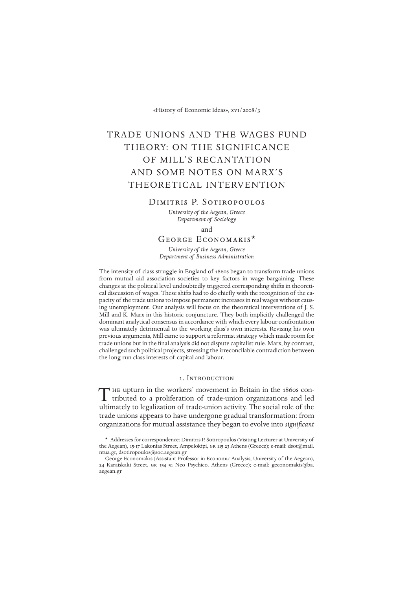«History of Economic Ideas», xvi/2008/3

# TRADE UNIONS AND THE WAGES FUND THEORY: ON THE SIGNIFICANCE OF MILL'S RECANTATION AND SOME NOTES ON MARX'S THEORETICAL INTERVENTION

## Dimitris P. Sotiropoulos

*University of the Aegean, Greece Department of Sociology*

and

# George Economakis\*

*University of the Aegean, Greece Department of Business Administration*

The intensity of class struggle in England of 1860s began to transform trade unions from mutual aid association societies to key factors in wage bargaining. These changes at the political level undoubtedly triggered corresponding shifts in theoretical discussion of wages. These shifts had to do chiefly with the recognition of the capacity of the trade unions to impose permanent increases in real wages without causing unemployment. Our analysis will focus on the theoretical interventions of J. S. Mill and K. Marx in this historic conjuncture. They both implicitly challenged the dominant analytical consensus in accordance with which every labour confrontation was ultimately detrimental to the working class's own interests. Revising his own previous arguments, Mill came to support a reformist strategy which made room for trade unions but in the final analysis did not dispute capitalist rule. Marx, by contrast, challenged such political projects, stressing the irreconcilable contradiction between the long-run class interests of capital and labour.

# 1. Introduction

he upturn in the workers' movement in Britain in the 1860s con-The upturn in the workers' movement in Britain in the 1860s contributed to a proliferation of trade-union organizations and led ultimately to legalization of trade-union activity. The social role of the trade unions appears to have undergone gradual transformation: from organizations for mutual assistance they began to evolve into *significant*

<sup>\*</sup> Addresses for correspondence: Dimitris P. Sotiropoulos (Visiting Lecturer at University of the Aegean), 15-17 Lakonias Street, Ampelokipi, gr 115 23 Athens (Greece); e-mail: dsot@mail. ntua.gr, dsotiropoulos@soc.aegean.gr

George Economakis (Assistant Professor in Economic Analysis, University of the Aegean), 24 Karaiskaki Street, gr 154 51 Neo Psychico, Athens (Greece); e-mail: geconomakis@ba. aegean.gr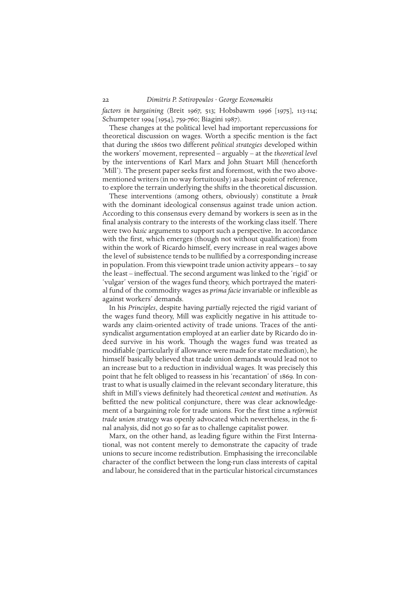*factors in bargaining* (Breit 1967, 513; Hobsbawm 1996 [1975], 113-114; Schumpeter 1994 [1954], 759-760; Biagini 1987).

These changes at the political level had important repercussions for theoretical discussion on wages. Worth a specific mention is the fact that during the 1860s two different *political strategies* developed within the workers' movement, represented – arguably – at the *theoretical level* by the interventions of Karl Marx and John Stuart Mill (henceforth 'Mill'). The present paper seeks first and foremost, with the two abovementioned writers (in no way fortuitously) as a basic point of reference, to explore the terrain underlying the shifts in the theoretical discussion.

These interventions (among others, obviously) constitute a *break* with the dominant ideological consensus against trade union action. According to this consensus every demand by workers is seen as in the final analysis contrary to the interests of the working class itself. There were two *basic* arguments to support such a perspective. In accordance with the first, which emerges (though not without qualification) from within the work of Ricardo himself, every increase in real wages above the level of subsistence tends to be nullified by a corresponding increase in population. From this viewpoint trade union activity appears – to say the least – ineffectual. The second argument was linked to the 'rigid' or 'vulgar' version of the wages fund theory, which portrayed the material fund of the commodity wages as *prima facie* invariable or inflexible as against workers' demands.

In his *Principles*, despite having *partially* rejected the rigid variant of the wages fund theory, Mill was explicitly negative in his attitude towards any claim-oriented activity of trade unions. Traces of the antisyndicalist argumentation employed at an earlier date by Ricardo do indeed survive in his work. Though the wages fund was treated as modifiable (particularly if allowance were made for state mediation), he himself basically believed that trade union demands would lead not to an increase but to a reduction in individual wages. It was precisely this point that he felt obliged to reassess in his 'recantation' of 1869. In contrast to what is usually claimed in the relevant secondary literature, this shift in Mill's views definitely had theoretical *content* and *motivation.* As befitted the new political conjuncture, there was clear acknowledgement of a bargaining role for trade unions. For the first time a *reformist trade union strategy* was openly advocated which nevertheless, in the final analysis, did not go so far as to challenge capitalist power.

Marx, on the other hand, as leading figure within the First International, was not content merely to demonstrate the capacity of trade unions to secure income redistribution. Emphasising the irreconcilable character of the conflict between the long-run class interests of capital and labour, he considered that in the particular historical circumstances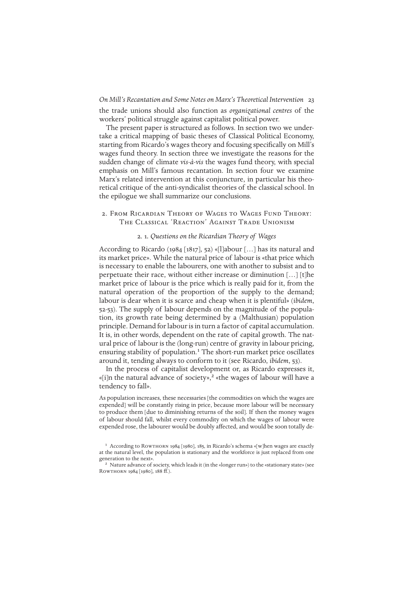*On Mill's Recantation and Some Notes on Marx's Theoretical Intervention* 23 the trade unions should also function as *organizational centres* of the workers' political struggle against capitalist political power.

The present paper is structured as follows. In section two we undertake a critical mapping of basic theses of Classical Political Economy, starting from Ricardo's wages theory and focusing specifically on Mill's wages fund theory. In section three we investigate the reasons for the sudden change of climate *vis-à-vis* the wages fund theory, with special emphasis on Mill's famous recantation. In section four we examine Marx's related intervention at this conjuncture, in particular his theoretical critique of the anti-syndicalist theories of the classical school. In the epilogue we shall summarize our conclusions.

2. From Ricardian Theory of Wages to Wages Fund Theory: The Classical 'Reaction' Against Trade Unionism

# 2. 1*. Questions on the Ricardian Theory of Wages*

According to Ricardo (1984 [1817], 52) «[l]abour […] has its natural and its market price». While the natural price of labour is «that price which is necessary to enable the labourers, one with another to subsist and to perpetuate their race, without either increase or diminution […] [t]he market price of labour is the price which is really paid for it, from the natural operation of the proportion of the supply to the demand; labour is dear when it is scarce and cheap when it is plentiful» (*ibidem*, 52-53). The supply of labour depends on the magnitude of the population, its growth rate being determined by a (Malthusian) population principle. Demand for labour is in turn a factor of capital accumulation. It is, in other words, dependent on the rate of capital growth. The natural price of labour is the (long-run) centre of gravity in labour pricing, ensuring stability of population.<sup>1</sup> The short-run market price oscillates around it, tending always to conform to it (see Ricardo, *ibidem*, 53).

In the process of capitalist development or, as Ricardo expresses it, «[i]n the natural advance of society»,<sup>2</sup> «the wages of labour will have a tendency to fall».

As population increases, these necessaries [the commodities on which the wages are expended] will be constantly rising in price, because more labour will be necessary to produce them [due to diminishing returns of the soil]. If then the money wages of labour should fall, whilst every commodity on which the wages of labour were expended rose, the labourer would be doubly affected, and would be soon totally de-

<sup>&</sup>lt;sup>1</sup> According to ROWTHORN 1984 [1980], 185, in Ricardo's schema «[w]hen wages are exactly at the natural level, the population is stationary and the workforce is just replaced from one generation to the next».

<sup>2</sup> Nature advance of society, which leads it (in the «longer run») to the «stationary state» (see Rowthorn 1984 [1980], 188 ff.).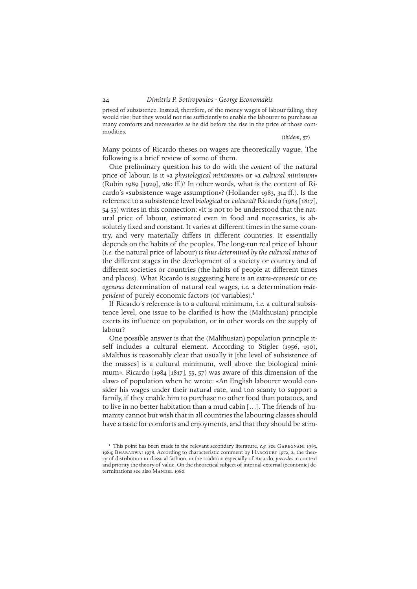prived of subsistence. Instead, therefore, of the money wages of labour falling, they would rise; but they would not rise sufficiently to enable the labourer to purchase as many comforts and necessaries as he did before the rise in the price of those commodities.

(*ibidem*, 57)

Many points of Ricardo theses on wages are theoretically vague. The following is a brief review of some of them.

One preliminary question has to do with the *content* of the natural price of labour. Is it «a *physiological minimum*» or «a *cultural minimum*» (Rubin 1989 [1929], 280 ff.)? In other words, what is the content of Ricardo's «subsistence wage assumption»? (Hollander 1983, 314 ff.). Is the reference to a subsistence level *biological* or *cultural*? Ricardo (1984 [1817], 54-55) writes in this connection: «It is not to be understood that the natural price of labour, estimated even in food and necessaries, is absolutely fixed and constant. It varies at different times in the same country, and very materially differs in different countries. It essentially depends on the habits of the people». The long-run real price of labour (*i.e.* the natural price of labour) *is thus determined by the cultural status* of the different stages in the development of a society or country and of different societies or countries (the habits of people at different times and places). What Ricardo is suggesting here is an *extra-economic* or *exogenous* determination of natural real wages, *i.e.* a determination *independent* of purely economic factors (or variables).<sup>1</sup>

If Ricardo's reference is to a cultural minimum, *i.e.* a cultural subsistence level, one issue to be clarified is how the (Malthusian) principle exerts its influence on population, or in other words on the supply of labour?

One possible answer is that the (Malthusian) population principle itself includes a cultural element. According to Stigler (1956, 190), «Malthus is reasonably clear that usually it [the level of subsistence of the masses] is a cultural minimum, well above the biological minimum». Ricardo (1984 [1817], 55, 57) was aware of this dimension of the «law» of population when he wrote: «An English labourer would consider his wages under their natural rate, and too scanty to support a family, if they enable him to purchase no other food than potatoes, and to live in no better habitation than a mud cabin […]. The friends of humanity cannot but wish that in all countries the labouring classes should have a taste for comforts and enjoyments, and that they should be stim-

<sup>&</sup>lt;sup>1</sup> This point has been made in the relevant secondary literature, *e.g.* see GAREGNANI 1983, 1984; Bharadwaj 1978. According to characteristic comment by Harcourt 1972, 2, the theory of distribution in classical fashion, in the tradition especially of Ricardo, *precedes* in context and priority the theory of value. On the theoretical subject of internal-external (economic) determinations see also MANDEL 1980.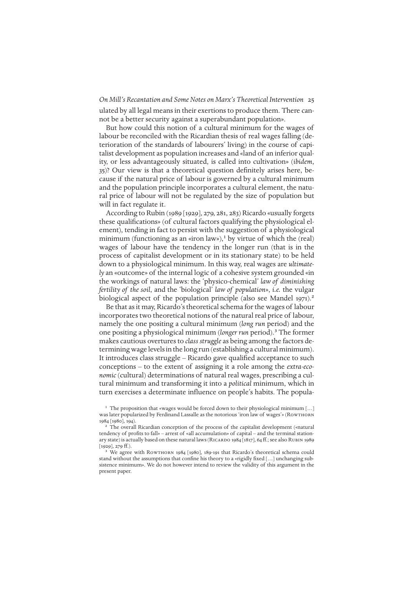*On Mill's Recantation and Some Notes on Marx's Theoretical Intervention* 25 ulated by all legal means in their exertions to produce them. There cannot be a better security against a superabundant population».

But how could this notion of a cultural minimum for the wages of labour be reconciled with the Ricardian thesis of real wages falling (deterioration of the standards of labourers' living) in the course of capitalist development as population increases and «land of an inferior quality, or less advantageously situated, is called into cultivation» (*ibidem*, 35)? Our view is that a theoretical question definitely arises here, because if the natural price of labour is governed by a cultural minimum and the population principle incorporates a cultural element, the natural price of labour will not be regulated by the size of population but will in fact regulate it.

According to Rubin (1989 [1929], 279, 281, 283) Ricardo «usually forgets these qualifications» (of cultural factors qualifying the physiological element), tending in fact to persist with the suggestion of a physiological minimum (functioning as an «iron law»),<sup>1</sup> by virtue of which the (real) wages of labour have the tendency in the longer run (that is in the process of capitalist development or in its stationary state) to be held down to a physiological minimum. In this way, real wages are *ultimately* an «outcome» of the internal logic of a cohesive system grounded «in the workings of natural laws: the 'physico-chemical' *law of diminishing fertility of the soil*, and the 'biological' *law of population*», *i.e.* the vulgar biological aspect of the population principle (also see Mandel 1971).<sup>2</sup>

Be that as it may, Ricardo's theoretical schema for the wages of labour incorporates two theoretical notions of the natural real price of labour, namely the one positing a cultural minimum (*long run* period) and the one positing a physiological minimum (*longer run* period).3 The former makes cautious overtures to *class struggle* as being among the factors determining wage levels in the long run (establishing a cultural minimum). It introduces class struggle – Ricardo gave qualified acceptance to such conceptions – to the extent of assigning it a role among the *extra-economic* (cultural) determinations of natural real wages, prescribing a cultural minimum and transforming it into a *political* minimum, which in turn exercises a determinate influence on people's habits. The popula-

<sup>1</sup> The proposition that «wages would be forced down to their physiological minimum [...] was later popularized by Ferdinand Lassalle as the notorious 'iron law of wages'» (Rowthorn 1984 [1980], 194).

<sup>2</sup> The overall Ricardian conception of the process of the capitalist development («natural tendency of profits to fall» – arrest of «all accumulation» of capital – and the terminal stationary state) is actually based on these natural laws (RICARDO 1984 [1817], 64 ff.; see also RUBIN 1989  $[1929]$ , 279 ff.).

We agree with ROWTHORN 1984 [1980], 189-191 that Ricardo's theoretical schema could stand without the assumptions that confine his theory to a «rigidly fixed […] unchanging subsistence minimum». We do not however intend to review the validity of this argument in the present paper.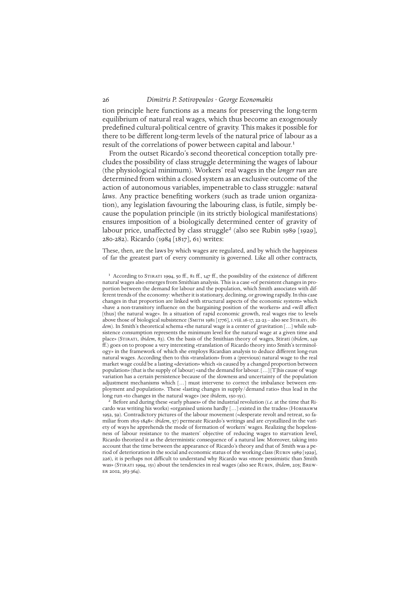tion principle here functions as a means for preserving the long-term equilibrium of natural real wages, which thus become an exogenously predefined cultural-political centre of gravity. This makes it possible for there to be different long-term levels of the natural price of labour as a result of the correlations of power between capital and labour.<sup>1</sup>

From the outset Ricardo's second theoretical conception totally precludes the possibility of class struggle determining the wages of labour (the physiological minimum). Workers' real wages in the *longer run* are determined from within a closed system as an exclusive outcome of the action of autonomous variables, impenetrable to class struggle: *natural laws*. Any practice benefiting workers (such as trade union organization), any legislation favouring the labouring class, is futile, simply because the population principle (in its strictly biological manifestations) ensures imposition of a biologically determined center of gravity of labour price, unaffected by class struggle<sup>2</sup> (also see Rubin 1989 [1929], 280-282). Ricardo (1984 [1817], 61) writes:

These, then, are the laws by which wages are regulated, and by which the happiness of far the greatest part of every community is governed. Like all other contracts,

<sup>&</sup>lt;sup>1</sup> According to STIRATI 1994, 50 ff., 81 ff., 147 ff., the possibility of the existence of different natural wages also emerges from Smithian analysis. This is a case «of persistent changes in proportion between the demand for labour and the population, which Smith associates with different trends of the economy: whether it is stationary, declining, or growing rapidly. In this case changes in that proportion are linked with structural aspects of the economic system» which «have a non-transitory influence on the bargaining position of the workers» and «will affect [thus] the natural wage». In a situation of rapid economic growth, real wages rise to levels above those of biological subsistence (Smith 1981 [1776], i.viii.16-17, 22-23 – also see Stirati, *ibidem*). In Smith's theoretical schema «the natural wage is a center of gravitation […] while subsistence consumption represents the minimum level for the natural wage at a given time and place» (Stirati, *ibidem*, 83). On the basis of the Smithian theory of wages, Stirati (*ibidem*, 149 ff.) goes on to propose a very interesting «translation of Ricardo theory into Smith's terminology» in the framework of which she employs Ricardian analysis to deduce different long-run natural wages. According then to this «translation» from a (previous) natural wage to the real market wage could be a lasting «deviation» which «is caused by a changed proportion between population» (that is the supply of labour) «and the demand for labour. […] [T]his cause of wage variation has a certain persistence because of the slowness and uncertainty of the population adjustment mechanisms which […] must intervene to correct the imbalance between employment and population». These «lasting changes in supply/demand ratio» thus lead in the long run «to changes in the natural wage» (see *ibid*em, 150-151).

<sup>2</sup> Before and during these «early phases» of the industrial revolution (*i.e.* at the time that Ricardo was writing his works) «organised unions hardly [...] existed in the trades» (HOBSBAWM 1952, 59). Contradictory pictures of the labour movement («desperate revolt and retreat, so familiar from 1815-1848»: *ibidem*, 57) permeate Ricardo's writings and are crystallized in the variety of ways he apprehends the mode of formation of workers' wages. Realizing the hopelessness of labour resistance to the masters' objective of reducing wages to starvation level, Ricardo theorized it as the deterministic consequence of a natural law. Moreover, taking into account that the time between the appearance of Ricardo's theory and that of Smith was a period of deterioration in the social and economic status of the working class (Rubin 1989 [1929], 226), it is perhaps not difficult to understand why Ricardo was «more pessimistic than Smith was» (Stirati 1994, 151) about the tendencies in real wages (also see Rubin, *ibidem*, 205; Brew-ER 2002, 363-364).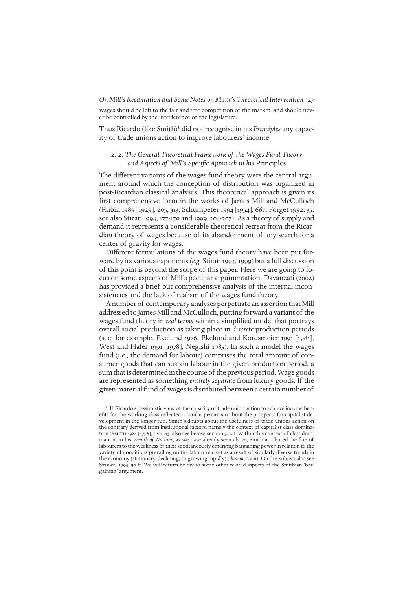wages should be left to the fair and free competition of the market, and should never be controlled by the interference of the legislature.

Thus Ricardo (like Smith)<sup>1</sup> did not recognise in his *Principles* any capacity of trade unions action to improve labourers' income.

# 2. 2. *The General Theoretical Framework of the Wages Fund Theory and Aspects of Mill's Specific Approach in his* Principles

The different variants of the wages fund theory were the central argument around which the conception of distribution was organized in post-Ricardian classical analyses. This theoretical approach is given its first comprehensive form in the works of James Mill and McCulloch (Rubin 1989 [1929], 205, 313; Schumpeter 1994 [1954], 667; Forget 1992, 35; see also Stirati 1994, 177-179 and 1999, 204-207). As a theory of supply and demand it represents a considerable theoretical retreat from the Ricardian theory of wages because of its abandonment of any search for a center of gravity for wages.

Different formulations of the wages fund theory have been put forward by its various exponents (*e.g.* Stirati 1994, 1999) but a full discussion of this point is beyond the scope of this paper. Here we are going to focus on some aspects of Mill's peculiar argumentation. Davanzati (2002) has provided a brief but comprehensive analysis of the internal inconsistencies and the lack of realism of the wages fund theory.

A number of contemporary analyses perpetuate an assertion that Mill addressed to James Mill and McCulloch, putting forward a variant of the wages fund theory in *real terms* within a simplified model that portrays overall social production as taking place in *discrete* production periods (see, for example, Ekelund 1976, Ekelund and Kordsmeier 1991 [1981], West and Hafer 1991 [1978], Negishi 1985). In such a model the wages fund (*i.e.*, the demand for labour) comprises the total amount of consumer goods that can sustain labour in the given production period, a sum that is determined in the course of the previous period. Wage goods are represented as something *entirely separate* from luxury goods. If the given material fund of wages is distributed between a certain number of

<sup>&</sup>lt;sup>1</sup> If Ricardo's pessimistic view of the capacity of trade union action to achieve income benefits for the working class reflected a similar pessimism about the prospects for capitalist development in the longer run, Smith's doubts about the usefulness of trade unions action on the contrary derived from institutional factors, namely the context of capitalist class domination (SMITH 1981 [1776], I.viii.13, also see below, section 3. 2.). Within this context of class domination, in his *Wealth of Nations*, as we have already seen above, Smith attributed the fate of labourers to the weakness of their spontaneously emerging bargaining power in relation to the variety of conditions prevailing on the labour market as a result of similarly diverse trends in the economy (stationary, declining, or growing rapidly) (*ibidem*, i.viii). On this subject also see STIRATI 1994, 50 ff. We will return below to some other related aspects of the Smithian 'bargaining' argument.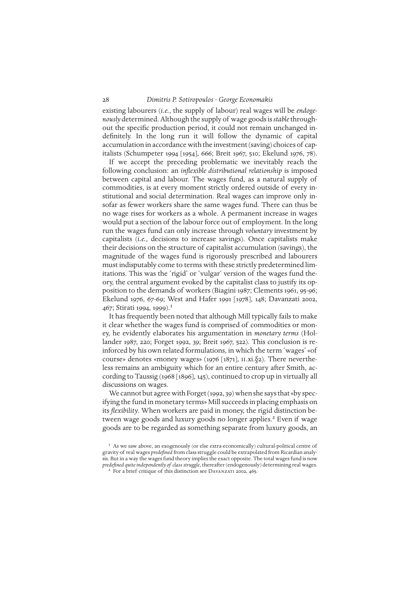existing labourers (*i.e.*, the supply of labour) real wages will be *endogenously* determined. Although the supply of wage goods is *stable*throughout the specific production period, it could not remain unchanged indefinitely. In the long run it will follow the dynamic of capital accumulation in accordance with the investment (saving) choices of capitalists (Schumpeter 1994 [1954], 666; Breit 1967, 510; Ekelund 1976, 78).

If we accept the preceding problematic we inevitably reach the following conclusion: an *inflexible distributional relationship* is imposed between capital and labour. The wages fund, as a natural supply of commodities, is at every moment strictly ordered outside of every institutional and social determination. Real wages can improve only insofar as fewer workers share the same wages fund. There can thus be no wage rises for workers as a whole. A permanent increase in wages would put a section of the labour force out of employment. In the long run the wages fund can only increase through *voluntary* investment by capitalists (*i.e.*, decisions to increase savings). Once capitalists make their decisions on the structure of capitalist accumulation (savings), the magnitude of the wages fund is rigorously prescribed and labourers must indisputably come to terms with these strictly predetermined limitations. This was the 'rigid' or 'vulgar' version of the wages fund theory, the central argument evoked by the capitalist class to justify its opposition to the demands of workers (Biagini 1987; Clements 1961, 95-96; Ekelund 1976, 67-69; West and Hafer 1991 [1978], 148; Davanzati 2002, 467; Stirati 1994, 1999).<sup>1</sup>

It has frequently been noted that although Mill typically fails to make it clear whether the wages fund is comprised of commodities or money, he evidently elaborates his argumentation in *monetary terms* (Hollander 1987, 220; Forget 1992, 39; Breit 1967, 522). This conclusion is reinforced by his own related formulations, in which the term 'wages' «of course» denotes «money wages» (1976 [1871], II.xi. $\S$ 2). There nevertheless remains an ambiguity which for an entire century after Smith, according to Taussig (1968 [1896], 145), continued to crop up in virtually all discussions on wages.

We cannot but agree with Forget (1992, 39) when she says that «by specifying the fund in monetary terms» Mill succeeds in placing emphasis on its *flexibility*. When workers are paid in money, the rigid distinction between wage goods and luxury goods no longer applies.<sup>2</sup> Even if wage goods are to be regarded as something separate from luxury goods, an

<sup>&</sup>lt;sup>1</sup> As we saw above, an exogenously (or else extra-economically) cultural-political centre of gravity of real wages *predefined* from class struggle could be extrapolated from Ricardian analysis. But in a way the wages fund theory implies the exact opposite. The total wages fund is now *predefined quite independently of class struggle*, thereafter (endogenously) determining real wages. <sup>2</sup> For a brief critique of this distinction see DAVANZATI 2002, 465.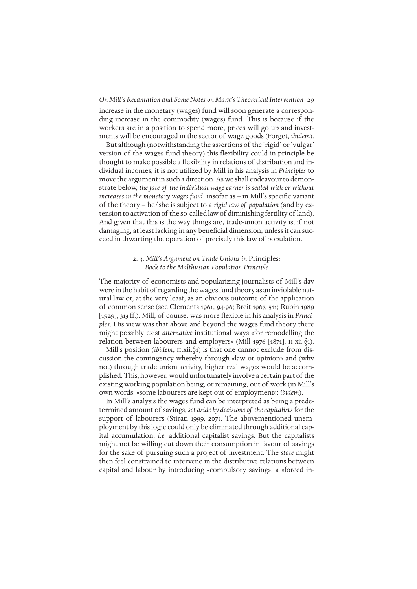increase in the monetary (wages) fund will soon generate a corresponding increase in the commodity (wages) fund. This is because if the workers are in a position to spend more, prices will go up and investments will be encouraged in the sector of wage goods (Forget, *ibidem*).

But although (notwithstanding the assertions of the 'rigid' or 'vulgar' version of the wages fund theory) this flexibility could in principle be thought to make possible a flexibility in relations of distribution and individual incomes, it is not utilized by Mill in his analysis in *Principles* to move the argument in such a direction. As we shall endeavour to demonstrate below, *the fate of the individual wage earner is sealed with or without increases in the monetary wages fund*, insofar as – in Mill's specific variant of the theory – he/she is subject to a *rigid law of population* (and by extension to activation of the so-called law of diminishing fertility of land). And given that this is the way things are, trade-union activity is, if not damaging, at least lacking in any beneficial dimension, unless it can succeed in thwarting the operation of precisely this law of population.

# 2. 3. *Mill's Argument on Trade Unions in* Principles*: Back to the Malthusian Population Principle*

The majority of economists and popularizing journalists of Mill's day were in the habit of regarding the wages fund theory as an inviolable natural law or, at the very least, as an obvious outcome of the application of common sense (see Clements 1961, 94-96; Breit 1967, 511; Rubin 1989 [1929], 313 ff.). Mill, of course, was more flexible in his analysis in *Principles*. His view was that above and beyond the wages fund theory there might possibly exist *alternative* institutional ways «for remodelling the relation between labourers and employers» (Mill 1976 [1871],  $II. xii.$  $\S_1$ ).

Mill's position *(ibidem, II.xii.*§1) is that one cannot exclude from discussion the contingency whereby through «law or opinion» and (why not) through trade union activity, higher real wages would be accomplished. This, however, would unfortunately involve a certain part of the existing working population being, or remaining, out of work (in Mill's own words: «some labourers are kept out of employment»: *ibidem*).

In Mill's analysis the wages fund can be interpreted as being a predetermined amount of savings, *set aside by decisions of the capitalists* for the support of labourers (Stirati 1999, 207). The abovementioned unemployment by this logic could only be eliminated through additional capital accumulation, *i.e.* additional capitalist savings. But the capitalists might not be willing cut down their consumption in favour of savings for the sake of pursuing such a project of investment. The *state* might then feel constrained to intervene in the distributive relations between capital and labour by introducing «compulsory saving», a «forced in-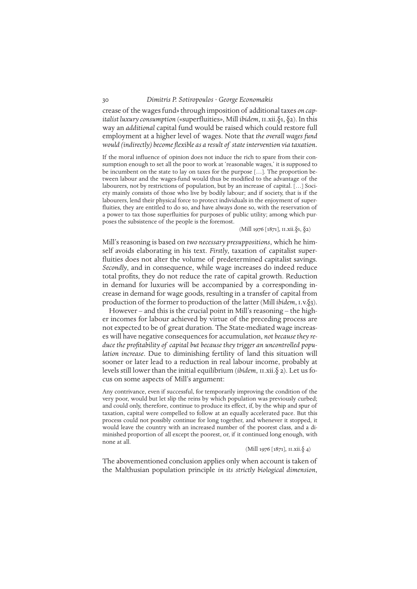crease of the wages fund» through imposition of additional taxes *on capitalist luxury consumption* («superfluities», Mill *ibidem*, ii.xii.§1, §2). In this way an *additional* capital fund would be raised which could restore full employment at a higher level of wages. Note that *the overall wages fund would (indirectly) become flexible as a result of state intervention via taxation.*

If the moral influence of opinion does not induce the rich to spare from their consumption enough to set all the poor to work at 'reasonable wages,' it is supposed to be incumbent on the state to lay on taxes for the purpose […]. The proportion between labour and the wages-fund would thus be modified to the advantage of the labourers, not by restrictions of population, but by an increase of capital. [...] Society mainly consists of those who live by bodily labour; and if society, that is if the labourers, lend their physical force to protect individuals in the enjoyment of superfluities, they are entitled to do so, and have always done so, with the reservation of a power to tax those superfluities for purposes of public utility; among which purposes the subsistence of the people is the foremost.

#### (Mill 1976 [1871], ii.xii.§1, §2)

Mill's reasoning is based on *two necessary presuppositions*, which he himself avoids elaborating in his text. *Firstly*, taxation of capitalist superfluities does not alter the volume of predetermined capitalist savings. *Secondly*, and in consequence, while wage increases do indeed reduce total profits, they do not reduce the rate of capital growth. Reduction in demand for luxuries will be accompanied by a corresponding increase in demand for wage goods, resulting in a transfer of capital from production of the former to production of the latter (Mill *ibidem*, i.v.§3).

However – and this is the crucial point in Mill's reasoning – the higher incomes for labour achieved by virtue of the preceding process are not expected to be of great duration. The State-mediated wage increas es will have negative consequences for accumulation, *not because they reduce the profitability of capital but because they trigger an uncontrolled population increase*. Due to diminishing fertility of land this situation will sooner or later lead to a reduction in real labour income, probably at levels still lower than the initial equilibrium (*ibidem*, II.xii.§ 2). Let us focus on some aspects of Mill's argument:

Any contrivance, even if successful, for temporarily improving the condition of the very poor, would but let slip the reins by which population was previously curbed; and could only, therefore, continue to produce its effect, if, by the whip and spur of taxation, capital were compelled to follow at an equally accelerated pace. But this process could not possibly continue for long together, and whenever it stopped, it would leave the country with an increased number of the poorest class, and a diminished proportion of all except the poorest, or, if it continued long enough, with none at all.

(Mill 1976 [1871], II.xii. $\S$  4)

The abovementioned conclusion applies only when account is taken of the Malthusian population principle *in its strictly biological dimension*,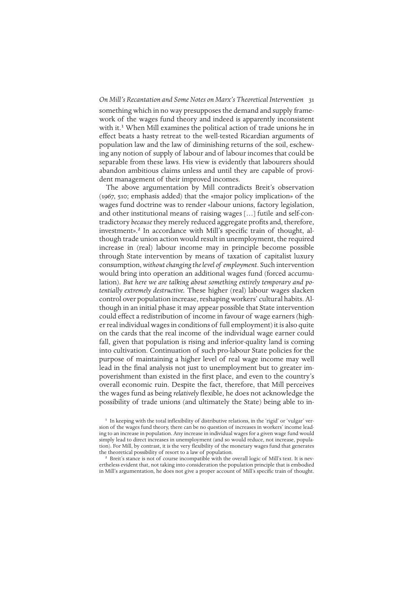something which in no way presupposes the demand and supply framework of the wages fund theory and indeed is apparently inconsistent with it.<sup>1</sup> When Mill examines the political action of trade unions he in effect beats a hasty retreat to the well-tested Ricardian arguments of population law and the law of diminishing returns of the soil, eschewing any notion of supply of labour and of labour incomes that could be separable from these laws. His view is evidently that labourers should abandon ambitious claims unless and until they are capable of provident management of their improved incomes.

The above argumentation by Mill contradicts Breit's observation (1967, 510; emphasis added) that the «major policy implication» of the wages fund doctrine was to render «labour unions, factory legislation, and other institutional means of raising wages […] futile and self-contradictory *because* they merely reduced aggregate profits and, therefore, investment».<sup>2</sup> In accordance with Mill's specific train of thought, although trade union action would result in unemployment, the required increase in (real) labour income may in principle become possible through State intervention by means of taxation of capitalist luxury consumption, *without changing the level of employment*. Such intervention would bring into operation an additional wages fund (forced accumulation). *But here we are talking about something entirely temporary and potentially extremely destructive.* These higher (real) labour wages slacken control over population increase, reshaping workers' cultural habits. Although in an initial phase it may appear possible that State intervention could effect a redistribution of income in favour of wage earners (higher real individual wages in conditions of full employment) it is also quite on the cards that the real income of the individual wage earner could fall, given that population is rising and inferior-quality land is coming into cultivation. Continuation of such pro-labour State policies for the purpose of maintaining a higher level of real wage income may well lead in the final analysis not just to unemployment but to greater impoverishment than existed in the first place, and even to the country's overall economic ruin. Despite the fact, therefore, that Mill perceives the wages fund as being *relatively* flexible, he does not acknowledge the possibility of trade unions (and ultimately the State) being able to in-

<sup>2</sup> Breit's stance is not of course incompatible with the overall logic of Mill's text. It is nevertheless evident that, not taking into consideration the population principle that is embodied in Mill's argumentation, he does not give a proper account of Mill's specific train of thought.

<sup>&</sup>lt;sup>1</sup> In keeping with the total inflexibility of distributive relations, in the 'rigid' or 'vulgar' version of the wages fund theory, there can be no question of increases in workers' income leading to an increase in population. Any increase in individual wages for a given wage fund would simply lead to direct increases in unemployment (and so would reduce, not increase, population). For Mill, by contrast, it is the very flexibility of the monetary wages fund that generates the theoretical possibility of resort to a law of population.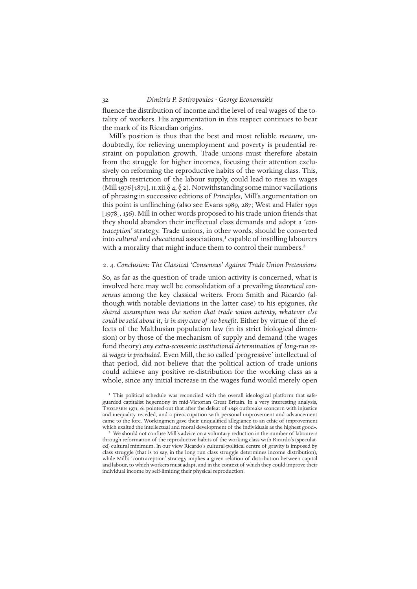fluence the distribution of income and the level of real wages of the totality of workers. His argumentation in this respect continues to bear the mark of its Ricardian origins.

Mill's position is thus that the best and most reliable *measure*, undoubtedly, for relieving unemployment and poverty is prudential restraint on population growth. Trade unions must therefore abstain from the struggle for higher incomes, focusing their attention exclusively on reforming the reproductive habits of the working class. This, through restriction of the labour supply, could lead to rises in wages (Mill 1976 [1871], II.xii. $\delta$  4,  $\delta$  2). Notwithstanding some minor vacillations of phrasing in successive editions of *Principles*, Mill's argumentation on this point is unflinching (also see Evans 1989, 287; West and Hafer 1991 [1978], 156). Mill in other words proposed to his trade union friends that they should abandon their ineffectual class demands and adopt a *'contraception'* strategy. Trade unions, in other words, should be converted into *cultural* and *educational* associations,<sup>1</sup> capable of instilling labourers with a morality that might induce them to control their numbers.<sup>2</sup>

## 2. 4. *Conclusion: The Classical 'Consensus' Against Trade Union Pretensions*

So, as far as the question of trade union activity is concerned, what is involved here may well be consolidation of a prevailing *theoretical consensus* among the key classical writers. From Smith and Ricardo (although with notable deviations in the latter case) to his epigones, *the shared assumption was the notion that trade union activity, whatever else could be said about it, is in any case of no benefit.* Either by virtue of the effects of the Malthusian population law (in its strict biological dimension) or by those of the mechanism of supply and demand (the wages fund theory) *any extra-economic institutional determination of long-run real wages is precluded*. Even Mill, the so called 'progressive' intellectual of that period, did not believe that the political action of trade unions could achieve any positive re-distribution for the working class as a whole, since any initial increase in the wages fund would merely open

<sup>&</sup>lt;sup>1</sup> This political schedule was reconciled with the overall ideological platform that safeguarded capitalist hegemony in mid-Victorian Great Britain. In a very interesting analysis, Tholfsen 1971, 61 pointed out that after the defeat of 1848 outbreaks «concern with injustice and inequality receded, and a preoccupation with personal improvement and advancement came to the fore. Workingmen gave their unqualified allegiance to an ethic of improvement which exalted the intellectual and moral development of the individuals as the highest good».

We should not confuse Mill's advice on a voluntary reduction in the number of labourers through reformation of the reproductive habits of the working class with Ricardo's (speculated) cultural minimum. In our view Ricardo's cultural-political centre of gravity is imposed by class struggle (that is to say, in the long run class struggle determines income distribution), while Mill's 'contraception' strategy implies a given relation of distribution between capital and labour, to which workers must adapt, and in the context of which they could improve their individual income by self-limiting their physical reproduction.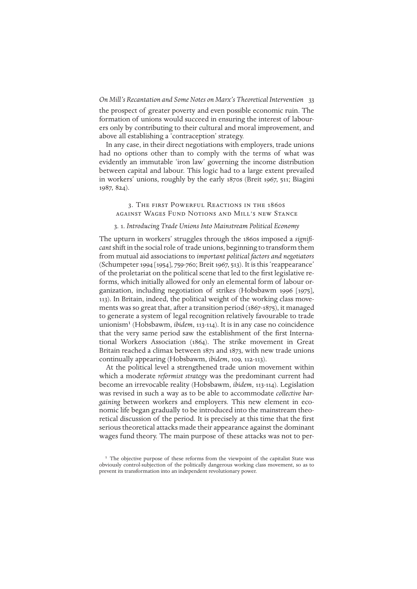the prospect of greater poverty and even possible economic ruin. The formation of unions would succeed in ensuring the interest of labourers only by contributing to their cultural and moral improvement, and above all establishing a 'contraception' strategy.

In any case, in their direct negotiations with employers, trade unions had no options other than to comply with the terms of what was evidently an immutable 'iron law' governing the income distribution between capital and labour. This logic had to a large extent prevailed in workers' unions, roughly by the early 1870s (Breit 1967, 511; Biagini 1987, 824).

# 3. The first Powerful Reactions in the 1860s against Wages Fund Notions and Mill's new Stance

# 3. 1. *Introducing Trade Unions Into Mainstream Political Economy*

The upturn in workers' struggles through the 1860s imposed a *significant*shift in the social role of trade unions, beginning to transform them from mutual aid associations to *important political factors and negotiators* (Schumpeter 1994 [1954], 759-760; Breit 1967, 513). It is this 'reappearance' of the proletariat on the political scene that led to the first legislative reforms, which initially allowed for only an elemental form of labour organization, including negotiation of strikes (Hobsbawm 1996 [1975], 113). In Britain, indeed, the political weight of the working class movements was so great that, after a transition period (1867-1875), it managed to generate a system of legal recognition relatively favourable to trade unionism1 (Hobsbawm, *ibidem*, 113-114). It is in any case no coincidence that the very same period saw the establishment of the first International Workers Association (1864). The strike movement in Great Britain reached a climax between 1871 and 1873, with new trade unions continually appearing (Hobsbawm, *ibidem*, 109, 112-113).

At the political level a strengthened trade union movement within which a moderate *reformist strategy* was the predominant current had become an irrevocable reality (Hobsbawm, *ibidem*, 113-114). Legislation was revised in such a way as to be able to accommodate *collective bargaining* between workers and employers. This new element in economic life began gradually to be introduced into the mainstream theoretical discussion of the period. It is precisely at this time that the first serious theoretical attacks made their appearance against the dominant wages fund theory. The main purpose of these attacks was not to per-

<sup>&</sup>lt;sup>1</sup> The objective purpose of these reforms from the viewpoint of the capitalist State was obviously control-subjection of the politically dangerous working class movement, so as to prevent its transformation into an independent revolutionary power.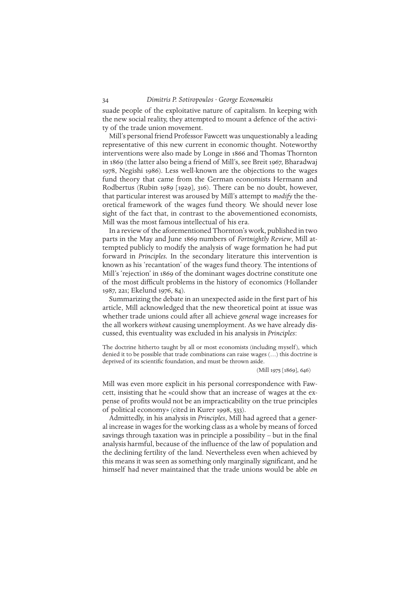suade people of the exploitative nature of capitalism. In keeping with the new social reality, they attempted to mount a defence of the activity of the trade union movement.

Mill's personal friend Professor Fawcett was unquestionably a leading representative of this new current in economic thought. Noteworthy interventions were also made by Longe in 1866 and Thomas Thornton in 1869 (the latter also being a friend of Mill's, see Breit 1967, Bharadwaj 1978, Negishi 1986). Less well-known are the objections to the wages fund theory that came from the German economists Hermann and Rodbertus (Rubin 1989 [1929], 316). There can be no doubt, however, that particular interest was aroused by Mill's attempt to *modify* the theoretical framework of the wages fund theory. We should never lose sight of the fact that, in contrast to the abovementioned economists, Mill was the most famous intellectual of his era.

In a review of the aforementioned Thornton's work, published in two parts in the May and June 1869 numbers of *Fortnightly Review*, Mill attempted publicly to modify the analysis of wage formation he had put forward in *Principles.* In the secondary literature this intervention is known as his 'recantation' of the wages fund theory. The intentions of Mill's 'rejection' in 1869 of the dominant wages doctrine constitute one of the most difficult problems in the history of economics (Hollander 1987, 221; Ekelund 1976, 84).

Summarizing the debate in an unexpected aside in the first part of his article, Mill acknowledged that the new theoretical point at issue was whether trade unions could after all achieve *general* wage increases for the all workers *without* causing unemployment. As we have already discussed, this eventuality was excluded in his analysis in *Principles*:

The doctrine hitherto taught by all or most economists (including myself), which denied it to be possible that trade combinations can raise wages (…) this doctrine is deprived of its scientific foundation, and must be thrown aside.

(Mill 1975 [1869], 646)

Mill was even more explicit in his personal correspondence with Fawcett, insisting that he «could show that an increase of wages at the expense of profits would not be an impracticability on the true principles of political economy» (cited in Kurer 1998, 533).

Admittedly, in his analysis in *Principles*, Mill had agreed that a general increase in wages for the working class as a whole by means of forced savings through taxation was in principle a possibility – but in the final analysis harmful, because of the influence of the law of population and the declining fertility of the land. Nevertheless even when achieved by this means it was seen as something only marginally significant, and he himself had never maintained that the trade unions would be able *on*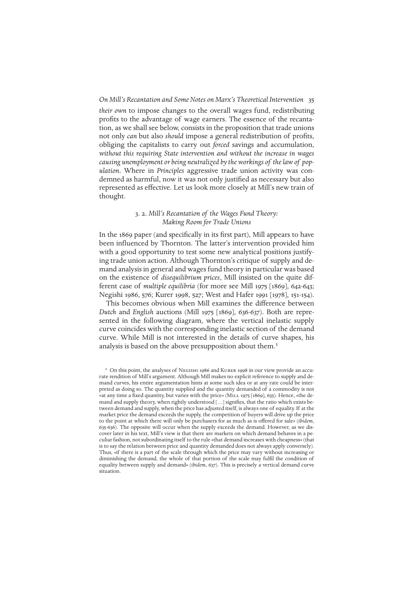*their own* to impose changes to the overall wages fund, redistributing profits to the advantage of wage earners. The essence of the recantation, as we shall see below, consists in the proposition that trade unions not only *can* but also *should* impose a general redistribution of profits, obliging the capitalists to carry out *forced* savings and accumulation, *without this requiring State intervention and without the increase in wages causing unemployment or being neutralized by the workings of the law of population.* Where in *Principles* aggressive trade union activity was condemned as harmful, now it was not only justified as necessary but also represented as effective. Let us look more closely at Mill's new train of thought.

# 3. 2. *Mill's Recantation of the Wages Fund Theory: Making Room for Trade Unions*

In the 1869 paper (and specifically in its first part), Mill appears to have been influenced by Thornton. The latter's intervention provided him with a good opportunity to test some new analytical positions justifying trade union action. Although Thornton's critique of supply and demand analysis in general and wages fund theory in particular was based on the existence of *disequilibrium prices*, Mill insisted on the quite different case of *multiple equilibria* (for more see Mill 1975 [1869], 642-643; Negishi 1986, 576; Kurer 1998, 527; West and Hafer 1991 [1978], 151-154).

This becomes obvious when Mill examines the difference between *Dutch* and *English* auctions (Mill 1975 [1869], 636-637). Both are represented in the following diagram, where the vertical inelastic supply curve coincides with the corresponding inelastic section of the demand curve. While Mill is not interested in the details of curve shapes, his analysis is based on the above presupposition about them.<sup>1</sup>

<sup>&</sup>lt;sup>1</sup> On this point, the analyses of NEGISHI 1986 and KURER 1998 in our view provide an accurate rendition of Mill's argument. Although Mill makes no explicit reference to supply and demand curves, his entire argumentation hints at some such idea or at any rate could be interpreted as doing so. The quantity supplied and the quantity demanded of a commodity is not «at any time a fixed quantity, but varies with the price» (MILL 1975 [1869], 635). Hence, «the demand and supply theory, when rightly understood […] signifies, that the ratio which exists between demand and supply, when the price has adjusted itself, is always one of equality. If at the market price the demand exceeds the supply, the competition of buyers will drive up the price to the point at which there will only be purchasers for as much as is offered for sale» (*ibidem*, 635-636). The opposite will occur when the supply exceeds the demand. However, as we discover later in his text, Mill's view is that there are markets on which demand behaves in a peculiar fashion, not subordinating itself to the rule «that demand increases with cheapness» (that is to say the relation between price and quantity demanded does not always apply conversely). Thus, «if there is a part of the scale through which the price may vary without increasing or diminishing the demand, the whole of that portion of the scale may fulfil the condition of equality between supply and demand» (*ibidem*, 637). This is precisely a vertical demand curve situation.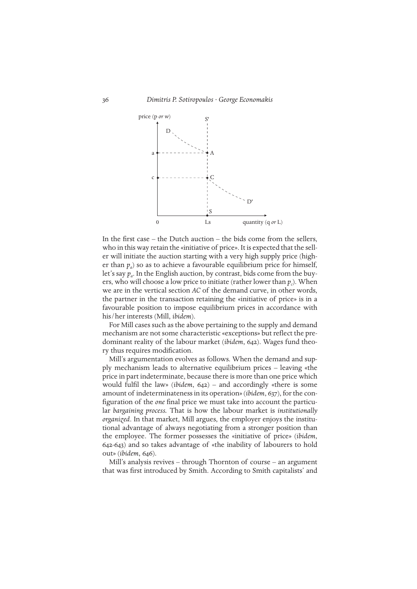

In the first case – the Dutch auction – the bids come from the sellers, who in this way retain the «initiative of price». It is expected that the seller will initiate the auction starting with a very high supply price (higher than  $p_a$ ) so as to achieve a favourable equilibrium price for himself, let's say *pa*. In the English auction, by contrast, bids come from the buyers, who will choose a low price to initiate (rather lower than  $p_c$ ). When we are in the vertical section *AC* of the demand curve, in other words, the partner in the transaction retaining the «initiative of price» is in a favourable position to impose equilibrium prices in accordance with his/her interests (Mill, *ibidem*).

For Mill cases such as the above pertaining to the supply and demand mechanism are not some characteristic «exceptions» but reflect the predominant reality of the labour market (*ibidem*, 642). Wages fund theory thus requires modification.

Mill's argumentation evolves as follows. When the demand and supply mechanism leads to alternative equilibrium prices – leaving «the price in part indeterminate, because there is more than one price which would fulfil the law» (*ibidem*, 642) – and accordingly «there is some amount of indeterminateness in its operation» (*ibidem*, 637), for the configuration of the *one* final price we must take into account the particular *bargaining process.* That is how the labour market is *institutionally organized*. In that market, Mill argues, the employer enjoys the institutional advantage of always negotiating from a stronger position than the employee. The former possesses the «initiative of price» (*ibidem*, 642-643) and so takes advantage of «the inability of labourers to hold out» (*ibidem*, 646).

Mill's analysis revives – through Thornton of course – an argument that was first introduced by Smith. According to Smith capitalists' and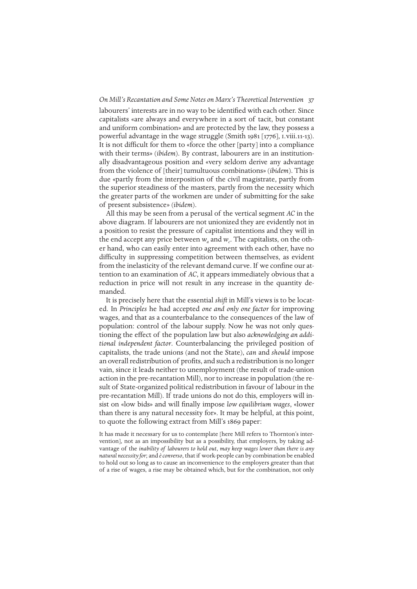labourers' interests are in no way to be identified with each other. Since capitalists «are always and everywhere in a sort of tacit, but constant and uniform combination» and are protected by the law, they possess a powerful advantage in the wage struggle (Smith 1981 [1776], i.viii.11-13). It is not difficult for them to «force the other [party] into a compliance with their terms» (*ibidem*). By contrast, labourers are in an institutionally disadvantageous position and «very seldom derive any advantage from the violence of [their] tumultuous combinations» (*ibidem*). This is due «partly from the interposition of the civil magistrate, partly from the superior steadiness of the masters, partly from the necessity which the greater parts of the workmen are under of submitting for the sake of present subsistence» (*ibidem*).

All this may be seen from a perusal of the vertical segment *AC* in the above diagram. If labourers are not unionized they are evidently not in a position to resist the pressure of capitalist intentions and they will in the end accept any price between  $w_a$  and  $w_c$ . The capitalists, on the other hand, who can easily enter into agreement with each other, have no difficulty in suppressing competition between themselves, as evident from the inelasticity of the relevant demand curve. If we confine our attention to an examination of *AC*, it appears immediately obvious that a reduction in price will not result in any increase in the quantity demanded.

It is precisely here that the essential *shift* in Mill's views is to be located. In *Principles* he had accepted *one and only one factor* for improving wages, and that as a counterbalance to the consequences of the law of population: control of the labour supply. Now he was not only questioning the effect of the population law but also *acknowledging an additional independent factor*. Counterbalancing the privileged position of capitalists, the trade unions (and not the State), *can* and *should* impose an overall redistribution of profits, and such a redistribution is no longer vain, since it leads neither to unemployment (the result of trade-union action in the pre-recantation Mill), nor to increase in population (the result of State-organized political redistribution in favour of labour in the pre-recantation Mill). If trade unions do not do this, employers will insist on «low bids» and will finally impose *low equilibrium wages*, «lower than there is any natural necessity for». It may be helpful, at this point, to quote the following extract from Mill's 1869 paper:

It has made it necessary for us to contemplate [here Mill refers to Thornton's intervention], not as an impossibility but as a possibility, that employers, by taking advantage of the *inability of labourers to hold out*, *may keep wages lower than there is any natural necessity for*; and *è converso*, that if work-people can by combination be enabled to hold out so long as to cause an inconvenience to the employers greater than that of a rise of wages, a rise may be obtained which, but for the combination, not only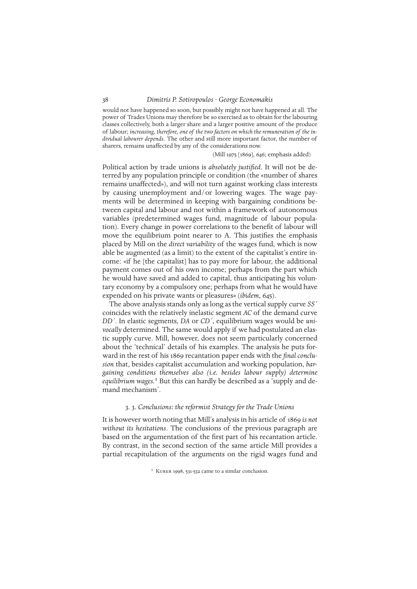would not have happened so soon, but possibly might not have happened at all. The power of Trades Unions may therefore be so exercised as to obtain for the labouring classes collectively, both a larger share and a larger positive amount of the produce of labour; *increasing, therefore, one of the two factors on which the remuneration of the individual labourer depends*. The other and still more important factor, the number of sharers, remains unaffected by any of the considerations now.

#### (Mill 1975 [1869], 646; emphasis added)

Political action by trade unions is *absolutely justified*. It will not be deterred by any population principle or condition (the «number of shares remains unaffected»), and will not turn against working class interests by causing unemployment and/or lowering wages. The wage payments will be determined in keeping with bargaining conditions between capital and labour and not within a framework of autonomous variables (predetermined wages fund, magnitude of labour population). Every change in power correlations to the benefit of labour will move the equilibrium point nearer to A. This justifies the emphasis placed by Mill on the *direct variability* of the wages fund, which is now able be augmented (as a limit) to the extent of the capitalist's entire income: «if he [the capitalist] has to pay more for labour, the additional payment comes out of his own income; perhaps from the part which he would have saved and added to capital, thus anticipating his voluntary economy by a compulsory one; perhaps from what he would have expended on his private wants or pleasures» (*ibidem*, 645).

The above analysis stands only as long as the vertical supply curve *SS´* coincides with the relatively inelastic segment *AC* of the demand curve *DD´*. In elastic segments, *DA* or *CD´*, equilibrium wages would be *univocally* determined. The same would apply if we had postulated an elastic supply curve. Mill, however, does not seem particularly concerned about the 'technical' details of his examples. The analysis he puts forward in the rest of his 1869 recantation paper ends with the *final conclusion* that, besides capitalist accumulation and working population, *bargaining conditions themselves also (i.e. besides labour supply) determine equilibrium wages.*1 But this can hardly be described as a 'supply and demand mechanism'.

## 3. 3. *Conclusions: the reformist Strategy for the Trade Unions*

It is however worth noting that Mill's analysis in his article of 1869 *is not without its hesitations*. The conclusions of the previous paragraph are based on the argumentation of the first part of his recantation article. By contrast, in the second section of the same article Mill provides a partial recapitulation of the arguments on the rigid wages fund and

<sup>&</sup>lt;sup>1</sup> KURER 1998, 531-532 came to a similar conclusion.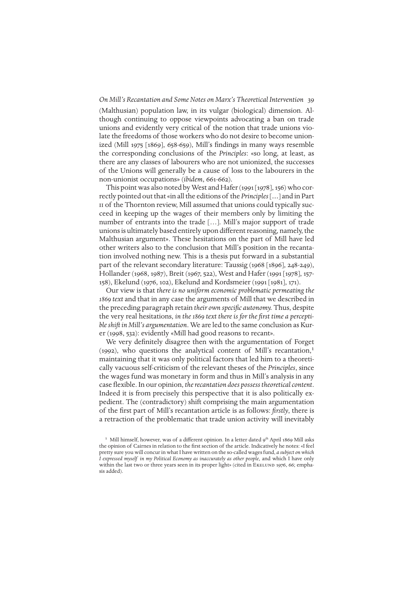(Malthusian) population law, in its vulgar (biological) dimension. Although continuing to oppose viewpoints advocating a ban on trade unions and evidently very critical of the notion that trade unions violate the freedoms of those workers who do not desire to become unionized (Mill 1975 [1869], 658-659), Mill's findings in many ways resemble the corresponding conclusions of the *Principles*: «so long, at least, as there are any classes of labourers who are not unionized, the successes of the Unions will generally be a cause of loss to the labourers in the non-unionist occupations» (*ibidem*, 661-662).

This point was also noted by West and Hafer (1991 [1978], 156) who correctly pointed out that «in all the editions of the *Principles*[*…*] and in Part II of the Thornton review, Mill assumed that unions could typically succeed in keeping up the wages of their members only by limiting the number of entrants into the trade […]. Mill's major support of trade unions is ultimately based entirely upon different reasoning, namely, the Malthusian argument». These hesitations on the part of Mill have led other writers also to the conclusion that Mill's position in the recantation involved nothing new. This is a thesis put forward in a substantial part of the relevant secondary literature: Taussig (1968 [1896], 248-249), Hollander (1968, 1987), Breit (1967, 522), West and Hafer (1991 [1978], 157- 158), Ekelund (1976, 102), Ekelund and Kordsmeier (1991 [1981], 171).

Our view is that *there is no uniform economic problematic permeating the 1869 text* and that in any case the arguments of Mill that we described in the preceding paragraph retain *their own specific autonomy.* Thus, despite the very real hesitations, *in the 1869 text there is for the first time a perceptible shift in Mill's argumentation*. We are led to the same conclusion as Kurer (1998, 532): evidently «Mill had good reasons to recant».

We very definitely disagree then with the argumentation of Forget (1992), who questions the analytical content of Mill's recantation, $<sup>1</sup>$ </sup> maintaining that it was only political factors that led him to a theoretically vacuous self-criticism of the relevant theses of the *Principles*, since the wages fund was monetary in form and thus in Mill's analysis in any case flexible. In our opinion, *the recantation does possess theoretical content*. Indeed it is from precisely this perspective that it is also politically expedient. The (contradictory) shift comprising the main argumentation of the first part of Mill's recantation article is as follows: *firstly*, there is a retraction of the problematic that trade union activity will inevitably

<sup>&</sup>lt;sup>1</sup> Mill himself, however, was of a different opinion. In a letter dated 9<sup>th</sup> April 1869 Mill asks the opinion of Cairnes in relation to the first section of the article. Indicatively he notes: «I feel pretty sure you will concur in what I have written on the so-called wages fund, *a subject on which I expressed myself in my Political Economy as inaccurately as other people*, and which I have only within the last two or three years seen in its proper light» (cited in EKELUND 1976, 66; emphasis added).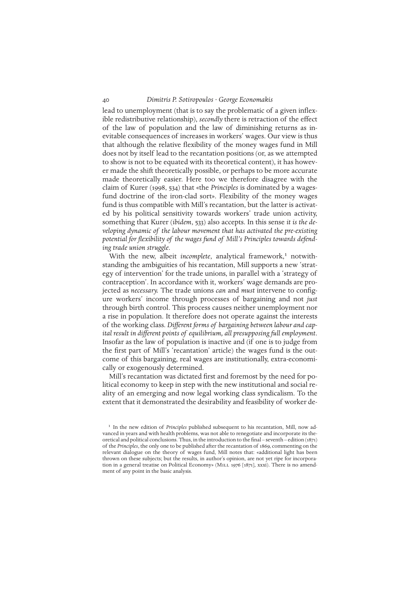lead to unemployment (that is to say the problematic of a given inflexible redistributive relationship), *secondly* there is retraction of the effect of the law of population and the law of diminishing returns as inevitable consequences of increases in workers' wages. Our view is thus that although the relative flexibility of the money wages fund in Mill does not by itself lead to the recantation positions (or, as we attempted to show is not to be equated with its theoretical content), it has however made the shift theoretically possible, or perhaps to be more accurate made theoretically easier. Here too we therefore disagree with the claim of Kurer (1998, 534) that «the *Principles* is dominated by a wagesfund doctrine of the iron-clad sort». Flexibility of the money wages fund is thus compatible with Mill's recantation, but the latter is activated by his political sensitivity towards workers' trade union activity, something that Kurer (*ibidem*, 533) also accepts. In this sense *it is the developing dynamic of the labour movement that has activated the pre-existing potential for flexibility of the wages fund of Mill's Principles towards defending trade union struggle*.

With the new, albeit *incomplete*, analytical framework,<sup>1</sup> notwithstanding the ambiguities of his recantation, Mill supports a new 'strategy of intervention' for the trade unions, in parallel with a 'strategy of contraception'. In accordance with it, workers' wage demands are projected as *necessary.* The trade unions *can* and *must* intervene to configure workers' income through processes of bargaining and not *just* through birth control. This process causes neither unemployment nor a rise in population. It therefore does not operate against the interests of the working class. *Different forms of bargaining between labour and capital result in different points of equilibrium, all presupposing full employment*. Insofar as the law of population is inactive and (if one is to judge from the first part of Mill's 'recantation' article) the wages fund is the outcome of this bargaining, real wages are institutionally, extra-economically or exogenously determined.

Mill's recantation was dictated first and foremost by the need for political economy to keep in step with the new institutional and social reality of an emerging and now legal working class syndicalism. To the extent that it demonstrated the desirability and feasibility of worker de-

<sup>&</sup>lt;sup>1</sup> In the new edition of *Principles* published subsequent to his recantation, Mill, now advanced in years and with health problems, was not able to renegotiate and incorporate its theoretical and political conclusions. Thus, in the introduction to the final – seventh – edition (1871) of the *Principles*, the only one to be published after the recantation of 1869, commenting on the relevant dialogue on the theory of wages fund, Mill notes that: «additional light has been thrown on these subjects; but the results, in author's opinion, are not yet ripe for incorporation in a general treatise on Political Economy» (MILL 1976 [1871], xxxi). There is no amendment of any point in the basic analysis.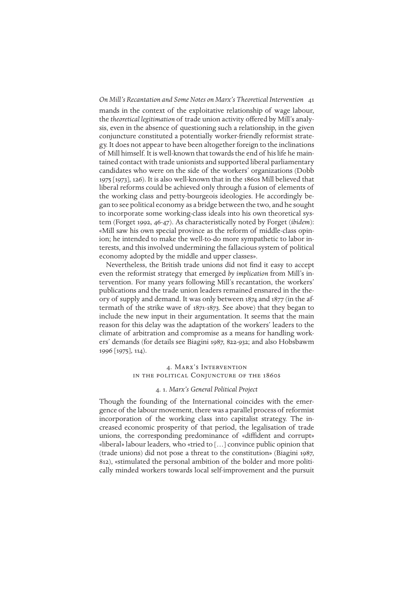mands in the context of the exploitative relationship of wage labour, the *theoretical legitimation* of trade union activity offered by Mill's analysis, even in the absence of questioning such a relationship, in the given conjuncture constituted a potentially worker-friendly reformist strategy. It does not appear to have been altogether foreign to the inclinations of Mill himself. It is well-known that towards the end of his life he maintained contact with trade unionists and supported liberal parliamentary candidates who were on the side of the workers' organizations (Dobb 1975 [1973], 126). It is also well-known that in the 1860s Mill believed that liberal reforms could be achieved only through a fusion of elements of the working class and petty-bourgeois ideologies. He accordingly began to see political economy as a bridge between the two, and he sought to incorporate some working-class ideals into his own theoretical system (Forget 1992, 46-47). As characteristically noted by Forget (*ibidem*): «Mill saw his own special province as the reform of middle-class opinion; he intended to make the well-to-do more sympathetic to labor interests, and this involved undermining the fallacious system of political economy adopted by the middle and upper classes».

Nevertheless, the British trade unions did not find it easy to accept even the reformist strategy that emerged *by implication* from Mill's intervention. For many years following Mill's recantation, the workers' publications and the trade union leaders remained ensnared in the theory of supply and demand. It was only between 1874 and 1877 (in the aftermath of the strike wave of 1871-1873. See above) that they began to include the new input in their argumentation. It seems that the main reason for this delay was the adaptation of the workers' leaders to the climate of arbitration and compromise as a means for handling workers' demands (for details see Biagini 1987, 822-932; and also Hobsbawm 1996 [1975], 114).

## 4. Marx's Intervention in the political Conjuncture of the 1860s

# 4. 1. *Marx's General Political Project*

Though the founding of the International coincides with the emergence of the labour movement, there was a parallel process of reformist incorporation of the working class into capitalist strategy. The increased economic prosperity of that period, the legalisation of trade unions, the corresponding predominance of «diffident and corrupt» «liberal» labour leaders, who «tried to […] convince public opinion that (trade unions) did not pose a threat to the constitution» (Biagini 1987, 812), «stimulated the personal ambition of the bolder and more politically minded workers towards local self-improvement and the pursuit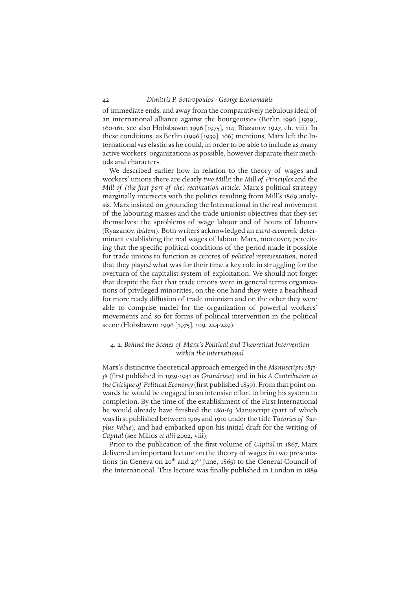of immediate ends, and away from the comparatively nebulous ideal of an international alliance against the bourgeoisie» (Berlin 1996 [1939], 160-161; see also Hobsbawm 1996 [1975], 114; Riazanov 1927, ch. viii). In these conditions, as Berlin (1996 [1939], 166) mentions, Marx left the International «as elastic as he could, in order to be able to include as many active workers' organizations as possible, however disparate their methods and character».

We described earlier how in relation to the theory of wages and workers' unions there are clearly *two Mills*: the *Mill of Principles* and the *Mill of (the first part of the) recantation article*. Marx's political strategy marginally intersects with the politics resulting from Mill's 1869 analysis. Marx insisted on grounding the International in the real movement of the labouring masses and the trade unionist objectives that they set themselves: the «problems of wage labour and of hours of labour» (Ryazanov, *ibidem*). Both writers acknowledged an *extra-economic* determinant establishing the real wages of labour. Marx, moreover, perceiving that the specific political conditions of the period made it possible for trade unions to function as centres of *political representation*, noted that they played what was for their time a key role in struggling for the overturn of the capitalist system of exploitation. We should not forget that despite the fact that trade unions were in general terms organizations of privileged minorities, on the one hand they were a beachhead for more ready diffusion of trade unionism and on the other they were able to comprise nuclei for the organization of powerful workers' movements and so for forms of political intervention in the political scene (Hobsbawm 1996 [1975], 109, 224-229).

# 4. 2. *Behind the Scenes of Marx's Political and Theoretical Intervention within the International*

Marx's distinctive theoretical approach emerged in the *Manuscripts 1857- 58* (first published in 1939-1941 as *Grundrisse*) and in his *A Contribution to the Critique of Political Economy* (first published 1859). From that point onwards he would be engaged in an intensive effort to bring his system to completion. By the time of the establishment of the First International he would already have finished the *1861-63* Manuscript (part of which was first published between 1905 and 1910 under the title *Theories of Surplus Value*), and had embarked upon his initial draft for the writing of *Capital* (see Milios *et alii* 2002, viii).

Prior to the publication of the first volume of *Capital* in 1867, Marx delivered an important lecture on the theory of wages in two presentations (in Geneva on 20<sup>th</sup> and 27<sup>th</sup> June, 1865) to the General Council of the International. This lecture was finally published in London in 1889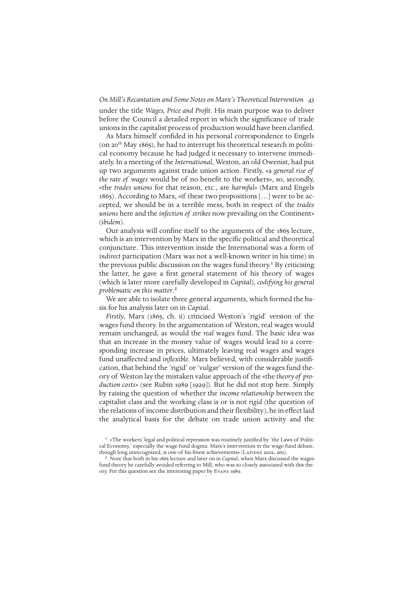under the title *Wages, Price and Profit*. His main purpose was to deliver before the Council a detailed report in which the significance of trade unions in the capitalist process of production would have been clarified.

As Marx himself confided in his personal correspondence to Engels (on 20<sup>th</sup> May 1865), he had to interrupt his theoretical research in political economy because he had judged it necessary to intervene immediately. In a meeting of the *International*, Weston, an old Owenist, had put up two arguments against trade union action. Firstly, «a *general rise of the rate of wages* would be of no benefit to the workers», so, secondly, «the *trades unions* for that reason, etc., are *harmful*» (Marx and Engels 1865). According to Marx, «if these two propositions […] were to be accepted, we should be in a terrible mess, both in respect of the *trades unions* here and the *infection of strikes* now prevailing on the Continent» (*ibidem*).

Our analysis will confine itself to the arguments of the 1865 lecture, which is an intervention by Marx in the specific political and theoretical conjuncture. This intervention inside the International was a form of *indirect* participation (Marx was not a well-known writer in his time) in the previous public discussion on the wages fund theory.<sup>1</sup> By criticising the latter, he gave a first general statement of his theory of wages (which is later more carefully developed in *Capital*), *codifying his general problematic on this matter*.2

We are able to isolate three general arguments, which formed the basis for his analysis later on in *Capital*.

*Firstly*, Marx (1865, ch. ii) criticised Weston's 'rigid' version of the wages fund theory. In the argumentation of Weston, real wages would remain unchanged, as would the *real* wages fund. The basic idea was that an increase in the money value of wages would lead to a corresponding increase in prices, ultimately leaving real wages and wages fund unaffected and *inflexible*. Marx believed, with considerable justification, that behind the 'rigid' or 'vulgar' version of the wages fund theory of Weston lay the mistaken value approach of the «the *theory of production costs*» (see Rubin 1989 [1929]). But he did not stop here. Simply by raising the question of whether the *income relationship* between the capitalist class and the working class is or is not *rigid* (the question of the relations of income distribution and their flexibility), he in effect laid the analytical basis for the debate on trade union activity and the

<sup>1 «</sup>The workers' legal and political repression was routinely justified by 'the Laws of Political Economy,' especially the wage-fund dogma. Marx's intervention in the wage-fund debate, though long unrecognized, is one of his finest achievements» (LAPIDES 2002, 260).

<sup>2</sup> Note that both in his 1865 lecture and later on in *Capital*, when Marx discussed the wages fund theory he carefully avoided referring to Mill, who was so closely associated with this theory. For this question see the interesting paper by Evans 1989.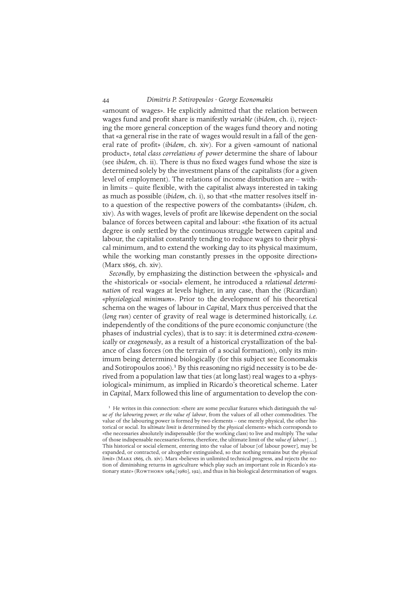«amount of wages». He explicitly admitted that the relation between wages fund and profit share is manifestly *variable* (*ibidem*, ch. i), rejecting the more general conception of the wages fund theory and noting that «a general rise in the rate of wages would result in a fall of the general rate of profit» (*ibidem*, ch. xiv). For a given «amount of national product», *total class correlations of power* determine the share of labour (see *ibidem*, ch. ii). There is thus no fixed wages fund whose the size is determined solely by the investment plans of the capitalists (for a given level of employment). The relations of income distribution are – within limits – quite flexible, with the capitalist always interested in taking as much as possible (*ibidem*, ch. i), so that «the matter resolves itself into a question of the respective powers of the combatants» (*ibidem*, ch. xiv). As with wages, levels of profit are likewise dependent on the social balance of forces between capital and labour: «the fixation of its actual degree is only settled by the continuous struggle between capital and labour, the capitalist constantly tending to reduce wages to their physical minimum, and to extend the working day to its physical maximum, while the working man constantly presses in the opposite direction» (Marx 1865, ch. xiv).

*Secondly*, by emphasizing the distinction between the «physical» and the «historical» or «social» element, he introduced a *relational determination* of real wages at levels higher, in any case, than the (Ricardian) «*physiological minimum*». Prior to the development of his theoretical schema on the wages of labour in *Capital*, Marx thus perceived that the (*long run*) center of gravity of real wage is determined historically, *i.e.* independently of the conditions of the pure economic conjuncture (the phases of industrial cycles), that is to say: it is determined *extra-economically* or *exogenously*, as a result of a historical crystallization of the balance of class forces (on the terrain of a social formation), only its minimum being determined biologically (for this subject see Economakis and Sotiropoulos 2006).<sup>1</sup> By this reasoning no rigid necessity is to be derived from a population law that ties (at long last) real wages to a «physiological» minimum, as implied in Ricardo's theoretical scheme. Later in *Capital*, Marx followed this line of argumentation to develop the con-

<sup>1</sup> He writes in this connection: «there are some peculiar features which distinguish the *value of the labouring power, or the value of labour*, from the values of all other commodities. The value of the labouring power is formed by two elements – one merely physical, the other historical or social. Its *ultimate limit* is determined by the *physical* element» which corresponds to «the necessaries absolutely indispensable (for the working class) to live and multiply. The *value* of those indispensable necessaries forms, therefore, the ultimate limit of the *value of labour*[…]. This historical or social element, entering into the value of labour [of labour power], may be expanded, or contracted, or altogether extinguished, so that nothing remains but the *physical limit*» (Marx 1865, ch. xiv). Marx «believes in unlimited technical progress, and rejects the notion of diminishing returns in agriculture which play such an important role in Ricardo's stationary state» (ROWTHORN 1984 [1980], 192), and thus in his biological determination of wages.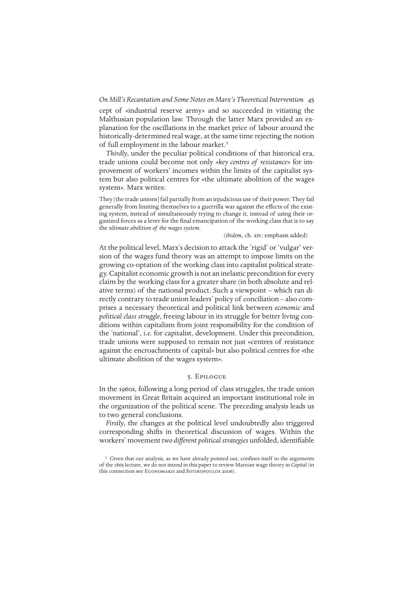cept of «industrial reserve army» and so succeeded in vitiating the Malthusian population law. Through the latter Marx provided an explanation for the oscillations in the market price of labour around the historically-determined real wage, at the same time rejecting the notion of full employment in the labour market.<sup>1</sup>

*Thirdly*, under the peculiar political conditions of that historical era, trade unions could become not only «*key centres of resistance*» for improvement of workers' incomes within the limits of the capitalist system but also political centres for «the ultimate abolition of the wages system». Marx writes:

They [the trade unions] fail partially from an injudicious use of their power. They fail generally from limiting themselves to a guerrilla war against the effects of the existing system, instead of simultaneously trying to change it, instead of using their organized forces as a lever for the final emancipation of the working class that is to say the *ultimate abolition of the wages system*.

#### (*ibidem*, ch. xiv; emphasis added)

At the political level, Marx's decision to attack the 'rigid' or 'vulgar' version of the wages fund theory was an attempt to impose limits on the growing co-optation of the working class into capitalist political strategy. Capitalist economic growth is not an inelastic precondition for every claim by the working class for a greater share (in both absolute and relative terms) of the national product. Such a viewpoint – which ran directly contrary to trade union leaders' policy of conciliation – also comprises a necessary theoretical and political link between *economic* and *political class struggle*, freeing labour in its struggle for better living conditions within capitalism from joint responsibility for the condition of the 'national', *i.e.* for capitalist, development. Under this precondition, trade unions were supposed to remain not just «centres of resistance against the encroachments of capital» but also political centres for «the ultimate abolition of the wages system».

## 5. Epilogue

In the 1960s, following a long period of class struggles, the trade union movement in Great Britain acquired an important institutional role in the organization of the political scene. The preceding analysis leads us to two general conclusions.

*Firstly*, the changes at the political level undoubtedly also triggered corresponding shifts in theoretical discussion of wages. Within the workers' movement *two different political strategies* unfolded, identifiable

<sup>&</sup>lt;sup>1</sup> Given that our analysis, as we have already pointed out, confines itself to the arguments of the 1865 lecture, we do not intend in this paper to review Marxian wage theory in *Capital* (in this connection see ECONOMAKIS and SOTIROPOULOS 2006).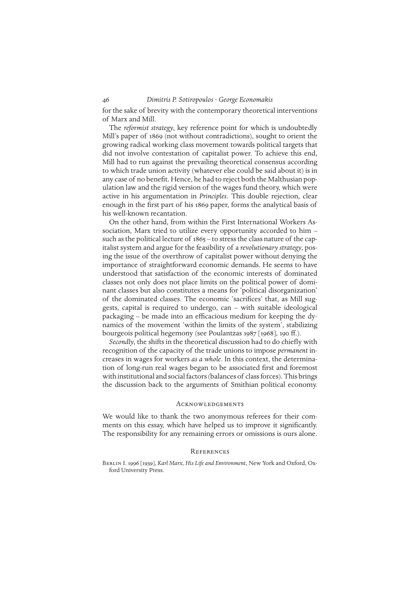for the sake of brevity with the contemporary theoretical interventions of Marx and Mill.

The *reformist strategy*, key reference point for which is undoubtedly Mill's paper of 1869 (not without contradictions), sought to orient the growing radical working class movement towards political targets that did not involve contestation of capitalist power. To achieve this end, Mill had to run against the prevailing theoretical consensus according to which trade union activity (whatever else could be said about it) is in any case of no benefit*.* Hence, he had to reject both the Malthusian population law and the rigid version of the wages fund theory, which were active in his argumentation in *Principles*. This double rejection, clear enough in the first part of his 1869 paper, forms the analytical basis of his well-known recantation.

On the other hand, from within the First International Workers Association, Marx tried to utilize every opportunity accorded to him – such as the political lecture of 1865 – to stress the class nature of the capitalist system and argue for the feasibility of a *revolutionary strategy*, posing the issue of the overthrow of capitalist power without denying the importance of straightforward economic demands. He seems to have understood that satisfaction of the economic interests of dominated classes not only does not place limits on the political power of dominant classes but also constitutes a means for 'political disorganization' of the dominated classes. The economic 'sacrifices' that, as Mill suggests, capital is required to undergo, can – with suitable ideological packaging – be made into an efficacious medium for keeping the dynamics of the movement 'within the limits of the system', stabilizing bourgeois political hegemony (see Poulantzas 1987 [1968], 190 ff.).

*Secondly*, the shifts in the theoretical discussion had to do chiefly with recognition of the capacity of the trade unions to impose *permanent* increases in wages for workers *as a whole*. In this context, the determination of long-run real wages began to be associated first and foremost with institutional and social factors (balances of class forces). This brings the discussion back to the arguments of Smithian political economy.

#### **ACKNOWLEDGEMENTS**

We would like to thank the two anonymous referees for their comments on this essay, which have helped us to improve it significantly. The responsibility for any remaining errors or omissions is ours alone.

#### **REFERENCES**

Berlin I. 1996 [1939], *Karl Marx, His Life and Environment*, New York and Oxford, Oxford University Press.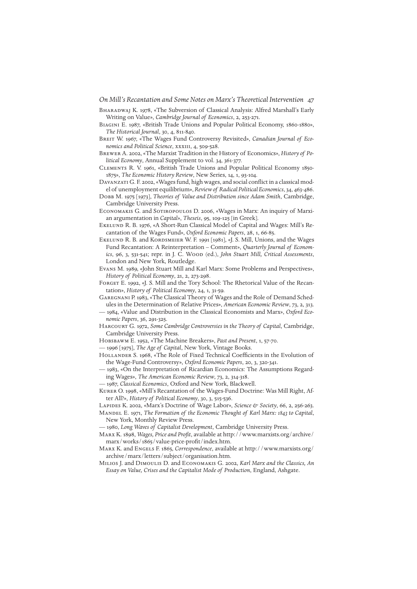- *On Mill's Recantation and Some Notes on Marx's Theoretical Intervention* 47
- Bharadwaj K. 1978, «The Subversion of Classical Analysis: Alfred Marshall's Early Writing on Value», *Cambridge Journal of Economics*, 2, 253-271.
- Biagini E. 1987, «British Trade Unions and Popular Political Economy, 1860-1880», *The Historical Journal*, 30, 4, 811-840.
- BREIT W. 1967, «The Wages Fund Controversy Revisited», *Canadian Journal of Economics and Political Science*, xxxiii, 4, 509-528.
- Brewer A. 2002, «The Marxist Tradition in the History of Economics», *History of Political Economy*, Annual Supplement to vol. 34, 361-377.
- Clements R. V. 1961, «British Trade Unions and Popular Political Economy 1850- 1875», *The Economic History Review*, New Series, 14, 1, 93-104.
- Davanzati G. F. 2002, «Wages fund, high wages, and social conflict in a classical model of unemployment equilibrium», *Review of Radical Political Economics*, 34, 463-486.
- Dobb M. 1975 [1973], *Theories of Value and Distribution since Adam Smith*, Cambridge, Cambridge University Press.
- Economakis G. and Sotiropoulos D. 2006, «Wages in Marx: An inquiry of Marxian argumentation in *Capital*», *Theseis*, 95, 109-125 [in Greek].
- Ekelund R. B. 1976, «A Short-Run Classical Model of Capital and Wages: Mill's Recantation of the Wages Fund», *Oxford Economic Papers*, 28, 1, 66-85.
- EKELUND R. B. and KORDSMEIER W. F. 1991 [1981], «J. S. Mill, Unions, and the Wages Fund Recantation: A Reinterpretation – Comment», *Quarterly Journal of Economics*, 96, 3, 531-541; repr. in J. C. Wood (ed.), *John Stuart Mill, Critical Assessments*, London and New York, Routledge.
- Evans M. 1989, «John Stuart Mill and Karl Marx: Some Problems and Perspectives», *History of Political Economy*, 21, 2, 273-298.
- FORGET E. 1992, «J. S. Mill and the Tory School: The Rhetorical Value of the Recantation», *History of Political Economy*, 24, 1, 31-59.
- Garegnani P. 1983, «The Classical Theory of Wages and the Role of Demand Schedules in the Determination of Relative Prices», *American Economic Review*, 73, 2, 313.
- 1984, «Value and Distribution in the Classical Economists and Marx», *Oxford Economic Papers*, 36, 291-325.
- Harcourt G. 1972, *Some Cambridge Controversies in the Theory of Capital*, Cambridge, Cambridge University Press.
- Hobsbawm E. 1952, «The Machine Breakers», *Past and Present*, 1, 57-70.
- 1996 [1975], *The Age of Capital*, New York, Vintage Books.
- HOLLANDER S. 1968, «The Role of Fixed Technical Coefficients in the Evolution of the Wage-Fund Controversy», *Oxford Economic Papers*, 20, 3, 320-341.
- 1983, «On the Interpretation of Ricardian Economics: The Assumptions Regarding Wages», *The American Economic Review*, 73, 2, 314-318.
- 1987, *Classical Economics*, Oxford and New York, Blackwell.
- Kurer O. 1998, «Mill's Recantation of the Wages-Fund Doctrine: Was Mill Right, After All?», *History of Political Economy*, 30, 3, 515-536.
- Lapides K. 2002, «Marx's Doctrine of Wage Labor», *Science & Society*, 66, 2, 256-263.
- Mandel E. 1971, *The Formation of the Economic Thought of Karl Marx: 1843 to Capital*, New York, Monthly Review Press.
- 1980, *Long Waves of Capitalist Development*, Cambridge University Press.
- Marx K. 1898, *Wages, Price and Profit*, available at http://www.marxists.org/archive/ marx/works/1865/value-price-profit/index.htm.
- Marx K. and Engels F. 1865, *Correspondence*, available at http://www.marxists.org/ archive/marx/letters/subject/organisation.htm.
- Milios J. and Dimoulis D. and Economakis G. 2002, *Karl Marx and the Classics, An Essay on Value, Crises and the Capitalist Mode of Production*, England, Ashgate.